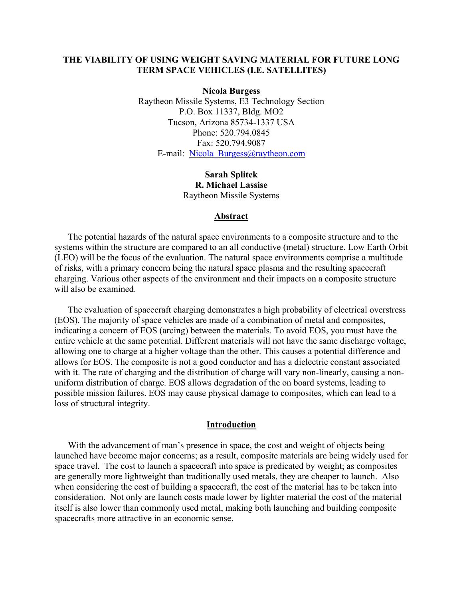## **THE VIABILITY OF USING WEIGHT SAVING MATERIAL FOR FUTURE LONG TERM SPACE VEHICLES (I.E. SATELLITES)**

**Nicola Burgess**  Raytheon Missile Systems, E3 Technology Section P.O. Box 11337, Bldg. MO2 Tucson, Arizona 85734-1337 USA Phone: 520.794.0845 Fax: 520.794.9087 E-mail: [Nicola\\_Burgess@raytheon.com](mailto:Nicola_Burgess@raytheon.com)

> **Sarah Splitek R. Michael Lassise** Raytheon Missile Systems

#### **Abstract**

The potential hazards of the natural space environments to a composite structure and to the systems within the structure are compared to an all conductive (metal) structure. Low Earth Orbit (LEO) will be the focus of the evaluation. The natural space environments comprise a multitude of risks, with a primary concern being the natural space plasma and the resulting spacecraft charging. Various other aspects of the environment and their impacts on a composite structure will also be examined.

The evaluation of spacecraft charging demonstrates a high probability of electrical overstress (EOS). The majority of space vehicles are made of a combination of metal and composites, indicating a concern of EOS (arcing) between the materials. To avoid EOS, you must have the entire vehicle at the same potential. Different materials will not have the same discharge voltage, allowing one to charge at a higher voltage than the other. This causes a potential difference and allows for EOS. The composite is not a good conductor and has a dielectric constant associated with it. The rate of charging and the distribution of charge will vary non-linearly, causing a nonuniform distribution of charge. EOS allows degradation of the on board systems, leading to possible mission failures. EOS may cause physical damage to composites, which can lead to a loss of structural integrity.

#### **Introduction**

With the advancement of man's presence in space, the cost and weight of objects being launched have become major concerns; as a result, composite materials are being widely used for space travel. The cost to launch a spacecraft into space is predicated by weight; as composites are generally more lightweight than traditionally used metals, they are cheaper to launch. Also when considering the cost of building a spacecraft, the cost of the material has to be taken into consideration. Not only are launch costs made lower by lighter material the cost of the material itself is also lower than commonly used metal, making both launching and building composite spacecrafts more attractive in an economic sense.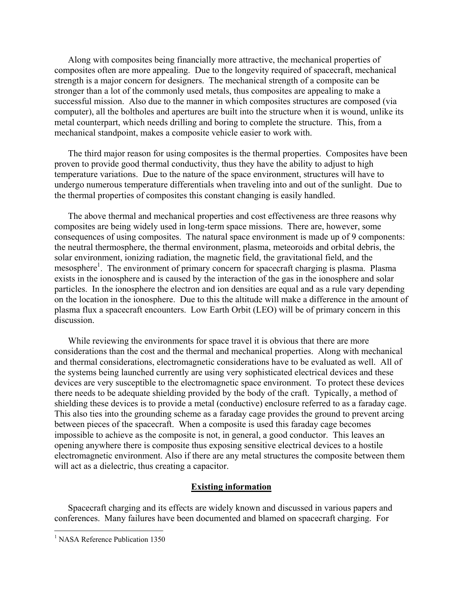Along with composites being financially more attractive, the mechanical properties of composites often are more appealing. Due to the longevity required of spacecraft, mechanical strength is a major concern for designers. The mechanical strength of a composite can be stronger than a lot of the commonly used metals, thus composites are appealing to make a successful mission. Also due to the manner in which composites structures are composed (via computer), all the boltholes and apertures are built into the structure when it is wound, unlike its metal counterpart, which needs drilling and boring to complete the structure. This, from a mechanical standpoint, makes a composite vehicle easier to work with.

The third major reason for using composites is the thermal properties. Composites have been proven to provide good thermal conductivity, thus they have the ability to adjust to high temperature variations. Due to the nature of the space environment, structures will have to undergo numerous temperature differentials when traveling into and out of the sunlight. Due to the thermal properties of composites this constant changing is easily handled.

The above thermal and mechanical properties and cost effectiveness are three reasons why composites are being widely used in long-term space missions. There are, however, some consequences of using composites. The natural space environment is made up of 9 components: the neutral thermosphere, the thermal environment, plasma, meteoroids and orbital debris, the solar environment, ionizing radiation, the magnetic field, the gravitational field, and the mesosphere<sup>[1](#page-1-0)</sup>. The environment of primary concern for spacecraft charging is plasma. Plasma exists in the ionosphere and is caused by the interaction of the gas in the ionosphere and solar particles. In the ionosphere the electron and ion densities are equal and as a rule vary depending on the location in the ionosphere. Due to this the altitude will make a difference in the amount of plasma flux a spacecraft encounters. Low Earth Orbit (LEO) will be of primary concern in this discussion.

While reviewing the environments for space travel it is obvious that there are more considerations than the cost and the thermal and mechanical properties. Along with mechanical and thermal considerations, electromagnetic considerations have to be evaluated as well. All of the systems being launched currently are using very sophisticated electrical devices and these devices are very susceptible to the electromagnetic space environment. To protect these devices there needs to be adequate shielding provided by the body of the craft. Typically, a method of shielding these devices is to provide a metal (conductive) enclosure referred to as a faraday cage. This also ties into the grounding scheme as a faraday cage provides the ground to prevent arcing between pieces of the spacecraft. When a composite is used this faraday cage becomes impossible to achieve as the composite is not, in general, a good conductor. This leaves an opening anywhere there is composite thus exposing sensitive electrical devices to a hostile electromagnetic environment. Also if there are any metal structures the composite between them will act as a dielectric, thus creating a capacitor.

### **Existing information**

Spacecraft charging and its effects are widely known and discussed in various papers and conferences. Many failures have been documented and blamed on spacecraft charging. For

 $\overline{a}$ 

<span id="page-1-0"></span><sup>&</sup>lt;sup>1</sup> NASA Reference Publication 1350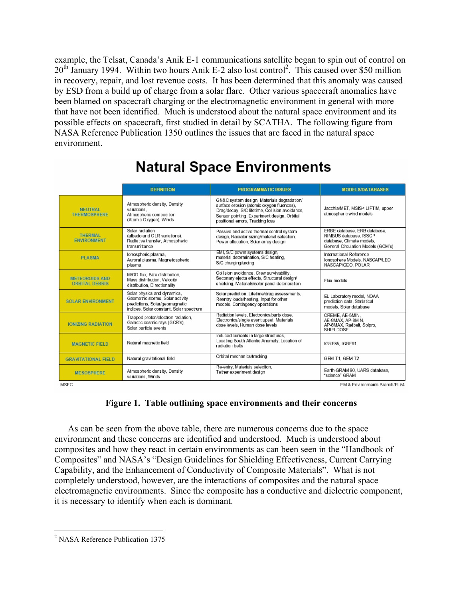example, the Telsat, Canada's Anik E-1 communications satellite began to spin out of control on  $20<sup>th</sup>$  $20<sup>th</sup>$  January 1994. Within two hours Anik E-2 also lost control<sup>2</sup>. This caused over \$50 million in recovery, repair, and lost revenue costs. It has been determined that this anomaly was caused by ESD from a build up of charge from a solar flare. Other various spacecraft anomalies have been blamed on spacecraft charging or the electromagnetic environment in general with more that have not been identified. Much is understood about the natural space environment and its possible effects on spacecraft, first studied in detail by SCATHA. The following figure from NASA Reference Publication 1350 outlines the issues that are faced in the natural space environment.

|                                                | <b>DEFINITION</b>                                                                                                                            | <b>PROGRAMMATIC ISSUES</b>                                                                                                                                                                                                   | <b>MODELS/DATABASES</b>                                                                                                   |  |  |  |  |  |
|------------------------------------------------|----------------------------------------------------------------------------------------------------------------------------------------------|------------------------------------------------------------------------------------------------------------------------------------------------------------------------------------------------------------------------------|---------------------------------------------------------------------------------------------------------------------------|--|--|--|--|--|
| <b>NEUTRAL</b><br><b>THERMOSPHERE</b>          | Atmospheric density, Density<br>variations.<br>Atmospheric composition<br>(Atomic Oxygen), Winds                                             | GN&C system design. Materials degradation/<br>surface erosion (atomic oxygen fluences).<br>Drag/decay, S/C lifetime, Collision avoidance,<br>Sensor pointing, Experiment design, Orbital<br>positional errors. Tracking loss | Jacchia/MET, MSIS< LIFTIM, upper<br>atmospheric wind models                                                               |  |  |  |  |  |
| <b>THERMAL</b><br><b>ENVIRONMENT</b>           | Solar radiation<br>(albedo and OLR variations).<br>Radiative transfer, Atmospheric<br>transmittance                                          | Passive and active thermal control system<br>design, Radiator sizing/material selection,<br>Power allocation, Solar array design                                                                                             | ERBE database, ERB database,<br>NIMBUS database, ISSCP<br>database. Climate models.<br>General Circulation Models (GCM's) |  |  |  |  |  |
| <b>PLASMA</b>                                  | lonospheric plasma,<br>Auroral plasma, Magnetospheric<br>plasma                                                                              | EMI, S/C power systems design,<br>material determination, S/C heating,<br>S/C charging/arcing                                                                                                                                | International Reference<br>Ionosphere Models, NASCAP/LEO<br>NASCAP/GEO, POLAR                                             |  |  |  |  |  |
| <b>METEOROIDS AND</b><br><b>ORBITAL DEBRIS</b> | M/OD flux. Size distribution.<br>Mass distribution, Velocity<br>distribution. Directionality                                                 | Collision avoidance, Crew survivability,<br>Seconary ejecta effects, Structural design/<br>shielding, Materials/solar panel deterioration                                                                                    | Flux models                                                                                                               |  |  |  |  |  |
| <b>SOLAR ENVIRONMENT</b>                       | Solar physics and dynamics.<br>Geometric storms, Solar activity<br>predictions. Solar/geomagnetic<br>indices, Solar constant, Solar spectrum | Solar prediction, Lifetime/drag assessments,<br>Reentry loads/heating, Input for other<br>models. Contingency operations                                                                                                     | EL Laboratory model, NOAA<br>prediction data, Statistical<br>models. Solar database                                       |  |  |  |  |  |
| <b>IONIZING RADIATION</b>                      | Trapped proton/electron radiation,<br>Galactic cosmic rays (GCR's),<br>Solar particle events                                                 | Radiation levels, Electronics/parts dose,<br>Electronics/single event upset. Materials<br>dose levels. Human dose levels                                                                                                     | CREME, AE-8MIN.<br>AE-8MAX, AP-8MIN,<br>AP-8MAX, Radbelt, Solpro,<br><b>SHIELDOSE</b>                                     |  |  |  |  |  |
| <b>MAGNETIC FIELD</b>                          | Natural magnetic field                                                                                                                       | Induced currents in large structures.<br>Locating South Atlantic Anomaly, Location of<br>radiation belts                                                                                                                     | IGRF85, IGRF91                                                                                                            |  |  |  |  |  |
| <b>GRAVITATIONAL FIELD</b>                     | Natural gravitational field                                                                                                                  | Orbital mechanics/tracking                                                                                                                                                                                                   | GEM-T1, GEM-T2                                                                                                            |  |  |  |  |  |
| <b>MESOSPHERE</b>                              | Atmospheric density, Density<br>variations. Winds                                                                                            | Re-entry, Materials selection.<br>Tether experiment design                                                                                                                                                                   | Earth-GRAM 90, UARS database,<br>"science" GRAM                                                                           |  |  |  |  |  |
| <b>MSFC</b>                                    |                                                                                                                                              |                                                                                                                                                                                                                              | EM & Environments Branch/EL54                                                                                             |  |  |  |  |  |

# **Natural Space Environments**

# **Figure 1. Table outlining space environments and their concerns**

As can be seen from the above table, there are numerous concerns due to the space environment and these concerns are identified and understood. Much is understood about composites and how they react in certain environments as can been seen in the "Handbook of Composites" and NASA's "Design Guidelines for Shielding Effectiveness, Current Carrying Capability, and the Enhancement of Conductivity of Composite Materials". What is not completely understood, however, are the interactions of composites and the natural space electromagnetic environments. Since the composite has a conductive and dielectric component, it is necessary to identify when each is dominant.

 $\overline{a}$ 

<span id="page-2-0"></span><sup>&</sup>lt;sup>2</sup> NASA Reference Publication 1375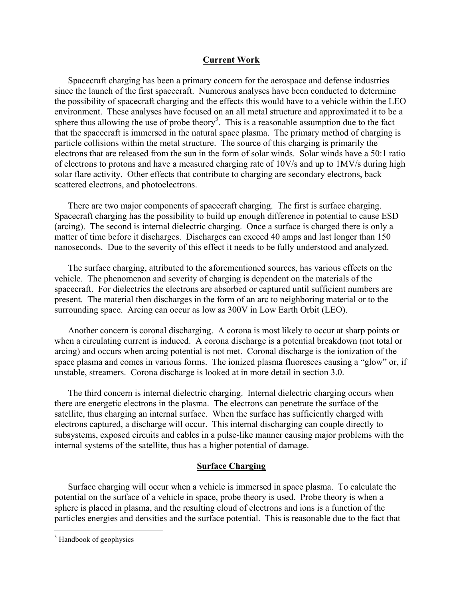#### **Current Work**

Spacecraft charging has been a primary concern for the aerospace and defense industries since the launch of the first spacecraft. Numerous analyses have been conducted to determine the possibility of spacecraft charging and the effects this would have to a vehicle within the LEO environment. These analyses have focused on an all metal structure and approximated it to be a sphere thus allowing the use of probe theory<sup>[3](#page-3-0)</sup>. This is a reasonable assumption due to the fact that the spacecraft is immersed in the natural space plasma. The primary method of charging is particle collisions within the metal structure. The source of this charging is primarily the electrons that are released from the sun in the form of solar winds. Solar winds have a 50:1 ratio of electrons to protons and have a measured charging rate of 10V/s and up to 1MV/s during high solar flare activity. Other effects that contribute to charging are secondary electrons, back scattered electrons, and photoelectrons.

There are two major components of spacecraft charging. The first is surface charging. Spacecraft charging has the possibility to build up enough difference in potential to cause ESD (arcing). The second is internal dielectric charging. Once a surface is charged there is only a matter of time before it discharges. Discharges can exceed 40 amps and last longer than 150 nanoseconds. Due to the severity of this effect it needs to be fully understood and analyzed.

The surface charging, attributed to the aforementioned sources, has various effects on the vehicle. The phenomenon and severity of charging is dependent on the materials of the spacecraft. For dielectrics the electrons are absorbed or captured until sufficient numbers are present. The material then discharges in the form of an arc to neighboring material or to the surrounding space. Arcing can occur as low as 300V in Low Earth Orbit (LEO).

Another concern is coronal discharging. A corona is most likely to occur at sharp points or when a circulating current is induced. A corona discharge is a potential breakdown (not total or arcing) and occurs when arcing potential is not met. Coronal discharge is the ionization of the space plasma and comes in various forms. The ionized plasma fluoresces causing a "glow" or, if unstable, streamers. Corona discharge is looked at in more detail in section 3.0.

The third concern is internal dielectric charging. Internal dielectric charging occurs when there are energetic electrons in the plasma. The electrons can penetrate the surface of the satellite, thus charging an internal surface. When the surface has sufficiently charged with electrons captured, a discharge will occur. This internal discharging can couple directly to subsystems, exposed circuits and cables in a pulse-like manner causing major problems with the internal systems of the satellite, thus has a higher potential of damage.

# **Surface Charging**

Surface charging will occur when a vehicle is immersed in space plasma. To calculate the potential on the surface of a vehicle in space, probe theory is used. Probe theory is when a sphere is placed in plasma, and the resulting cloud of electrons and ions is a function of the particles energies and densities and the surface potential. This is reasonable due to the fact that

<u>.</u>

<span id="page-3-0"></span><sup>&</sup>lt;sup>3</sup> Handbook of geophysics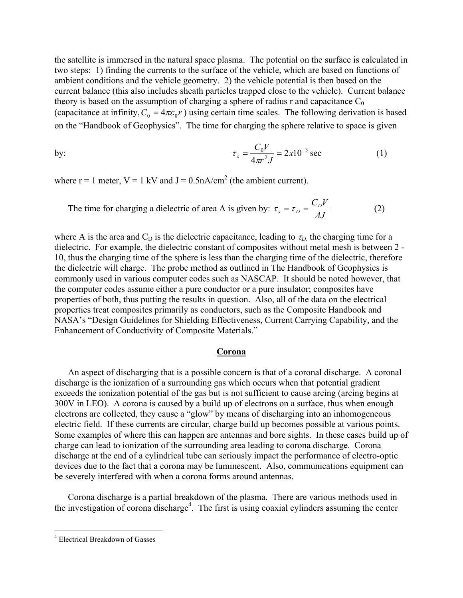the satellite is immersed in the natural space plasma. The potential on the surface is calculated in two steps: 1) finding the currents to the surface of the vehicle, which are based on functions of ambient conditions and the vehicle geometry. 2) the vehicle potential is then based on the current balance (this also includes sheath particles trapped close to the vehicle). Current balance theory is based on the assumption of charging a sphere of radius r and capacitance  $C_0$ (capacitance at infinity,  $C_0 = 4\pi \epsilon_0 r$ ) using certain time scales. The following derivation is based on the "Handbook of Geophysics". The time for charging the sphere relative to space is given

by: 
$$
\tau_s = \frac{C_0 V}{4\pi r^2 J} = 2x 10^{-3} \text{ sec}
$$
 (1)

where  $r = 1$  meter,  $V = 1$  kV and  $J = 0.5$ nA/cm<sup>2</sup> (the ambient current).

The time for charging a dielectric of area A is given by: 
$$
\tau_s = \tau_D = \frac{C_D V}{AJ}
$$
 (2)

where A is the area and  $C_D$  is the dielectric capacitance, leading to  $\tau_D$ , the charging time for a dielectric. For example, the dielectric constant of composites without metal mesh is between 2 - 10, thus the charging time of the sphere is less than the charging time of the dielectric, therefore the dielectric will charge. The probe method as outlined in The Handbook of Geophysics is commonly used in various computer codes such as NASCAP. It should be noted however, that the computer codes assume either a pure conductor or a pure insulator; composites have properties of both, thus putting the results in question. Also, all of the data on the electrical properties treat composites primarily as conductors, such as the Composite Handbook and NASA's "Design Guidelines for Shielding Effectiveness, Current Carrying Capability, and the Enhancement of Conductivity of Composite Materials."

#### **Corona**

An aspect of discharging that is a possible concern is that of a coronal discharge. A coronal discharge is the ionization of a surrounding gas which occurs when that potential gradient exceeds the ionization potential of the gas but is not sufficient to cause arcing (arcing begins at 300V in LEO). A corona is caused by a build up of electrons on a surface, thus when enough electrons are collected, they cause a "glow" by means of discharging into an inhomogeneous electric field. If these currents are circular, charge build up becomes possible at various points. Some examples of where this can happen are antennas and bore sights. In these cases build up of charge can lead to ionization of the surrounding area leading to corona discharge. Corona discharge at the end of a cylindrical tube can seriously impact the performance of electro-optic devices due to the fact that a corona may be luminescent. Also, communications equipment can be severely interfered with when a corona forms around antennas.

Corona discharge is a partial breakdown of the plasma. There are various methods used in the investigation of corona discharge<sup>4</sup>. The first is using coaxial cylinders assuming the center

 $\overline{a}$ 

<span id="page-4-0"></span><sup>4</sup> Electrical Breakdown of Gasses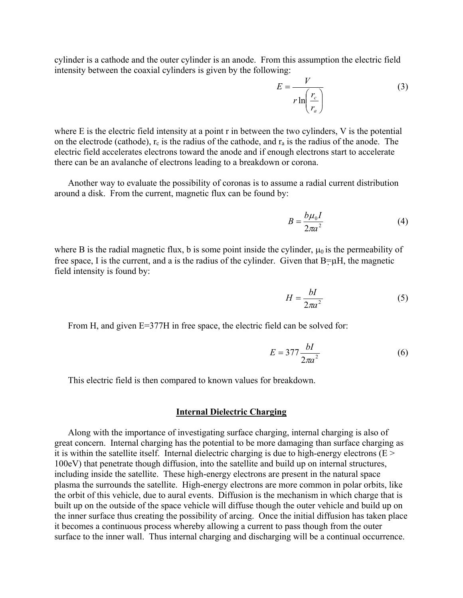cylinder is a cathode and the outer cylinder is an anode. From this assumption the electric field intensity between the coaxial cylinders is given by the following:

$$
E = \frac{V}{r \ln\left(\frac{r_c}{r_a}\right)}\tag{3}
$$

where E is the electric field intensity at a point r in between the two cylinders, V is the potential on the electrode (cathode),  $r_c$  is the radius of the cathode, and  $r_a$  is the radius of the anode. The electric field accelerates electrons toward the anode and if enough electrons start to accelerate there can be an avalanche of electrons leading to a breakdown or corona.

Another way to evaluate the possibility of coronas is to assume a radial current distribution around a disk. From the current, magnetic flux can be found by:

$$
B = \frac{b\mu_0 I}{2\pi a^2} \tag{4}
$$

where B is the radial magnetic flux, b is some point inside the cylinder,  $\mu_0$  is the permeability of free space, I is the current, and a is the radius of the cylinder. Given that  $B=\mu H$ , the magnetic field intensity is found by:

$$
H = \frac{bI}{2\pi a^2} \tag{5}
$$

From H, and given E=377H in free space, the electric field can be solved for:

$$
E = 377 \frac{bl}{2\pi a^2} \tag{6}
$$

This electric field is then compared to known values for breakdown.

#### **Internal Dielectric Charging**

Along with the importance of investigating surface charging, internal charging is also of great concern. Internal charging has the potential to be more damaging than surface charging as it is within the satellite itself. Internal dielectric charging is due to high-energy electrons  $(E >$ 100eV) that penetrate though diffusion, into the satellite and build up on internal structures, including inside the satellite. These high-energy electrons are present in the natural space plasma the surrounds the satellite. High-energy electrons are more common in polar orbits, like the orbit of this vehicle, due to aural events. Diffusion is the mechanism in which charge that is built up on the outside of the space vehicle will diffuse though the outer vehicle and build up on the inner surface thus creating the possibility of arcing. Once the initial diffusion has taken place it becomes a continuous process whereby allowing a current to pass though from the outer surface to the inner wall. Thus internal charging and discharging will be a continual occurrence.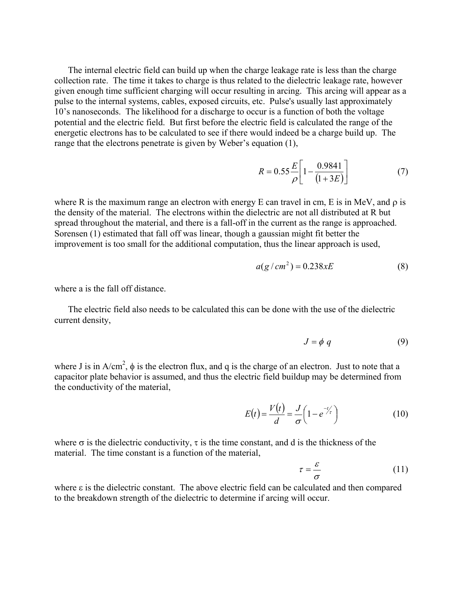The internal electric field can build up when the charge leakage rate is less than the charge collection rate. The time it takes to charge is thus related to the dielectric leakage rate, however given enough time sufficient charging will occur resulting in arcing. This arcing will appear as a pulse to the internal systems, cables, exposed circuits, etc. Pulse's usually last approximately 10's nanoseconds. The likelihood for a discharge to occur is a function of both the voltage potential and the electric field. But first before the electric field is calculated the range of the energetic electrons has to be calculated to see if there would indeed be a charge build up. The range that the electrons penetrate is given by Weber's equation (1),

$$
R = 0.55 \frac{E}{\rho} \left[ 1 - \frac{0.9841}{(1 + 3E)} \right] \tag{7}
$$

where R is the maximum range an electron with energy E can travel in cm, E is in MeV, and  $\rho$  is the density of the material. The electrons within the dielectric are not all distributed at R but spread throughout the material, and there is a fall-off in the current as the range is approached. Sorensen (1) estimated that fall off was linear, though a gaussian might fit better the improvement is too small for the additional computation, thus the linear approach is used,

$$
a(g/cm2) = 0.238xE
$$
 (8)

where a is the fall off distance.

The electric field also needs to be calculated this can be done with the use of the dielectric current density,

$$
J = \phi \ q \tag{9}
$$

where J is in  $A/cm^2$ ,  $\phi$  is the electron flux, and q is the charge of an electron. Just to note that a capacitor plate behavior is assumed, and thus the electric field buildup may be determined from the conductivity of the material,

$$
E(t) = \frac{V(t)}{d} = \frac{J}{\sigma} \left( 1 - e^{-t/\tau} \right) \tag{10}
$$

where  $\sigma$  is the dielectric conductivity,  $\tau$  is the time constant, and d is the thickness of the material. The time constant is a function of the material,

$$
\tau = \frac{\varepsilon}{\sigma} \tag{11}
$$

where ε is the dielectric constant. The above electric field can be calculated and then compared to the breakdown strength of the dielectric to determine if arcing will occur.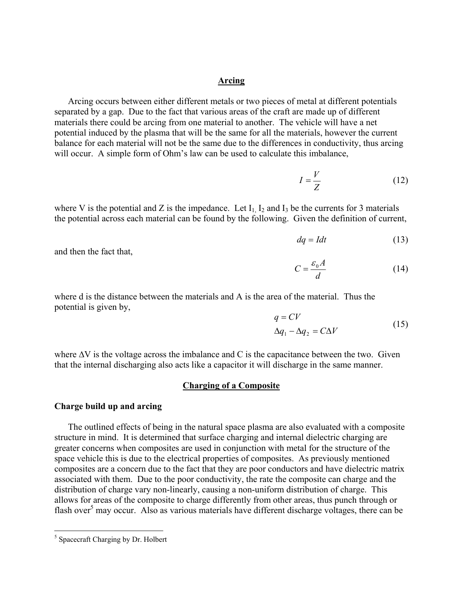#### **Arcing**

Arcing occurs between either different metals or two pieces of metal at different potentials separated by a gap. Due to the fact that various areas of the craft are made up of different materials there could be arcing from one material to another. The vehicle will have a net potential induced by the plasma that will be the same for all the materials, however the current balance for each material will not be the same due to the differences in conductivity, thus arcing will occur. A simple form of Ohm's law can be used to calculate this imbalance,

$$
I = \frac{V}{Z} \tag{12}
$$

where V is the potential and Z is the impedance. Let  $I_1$ ,  $I_2$  and  $I_3$  be the currents for 3 materials the potential across each material can be found by the following. Given the definition of current,

$$
dq = Idt \tag{13}
$$

and then the fact that,

$$
C = \frac{\varepsilon_0 A}{d} \tag{14}
$$

where d is the distance between the materials and A is the area of the material. Thus the potential is given by,

$$
q = CV
$$
  
\n
$$
\Delta q_1 - \Delta q_2 = C\Delta V
$$
\n(15)

where  $\Delta V$  is the voltage across the imbalance and C is the capacitance between the two. Given that the internal discharging also acts like a capacitor it will discharge in the same manner.

#### **Charging of a Composite**

#### **Charge build up and arcing**

The outlined effects of being in the natural space plasma are also evaluated with a composite structure in mind. It is determined that surface charging and internal dielectric charging are greater concerns when composites are used in conjunction with metal for the structure of the space vehicle this is due to the electrical properties of composites. As previously mentioned composites are a concern due to the fact that they are poor conductors and have dielectric matrix associated with them. Due to the poor conductivity, the rate the composite can charge and the distribution of charge vary non-linearly, causing a non-uniform distribution of charge. This allows for areas of the composite to charge differently from other areas, thus punch through or flash over<sup>[5](#page-7-0)</sup> may occur. Also as various materials have different discharge voltages, there can be

<span id="page-7-0"></span> $\frac{1}{5}$  $<sup>5</sup>$  Spacecraft Charging by Dr. Holbert</sup>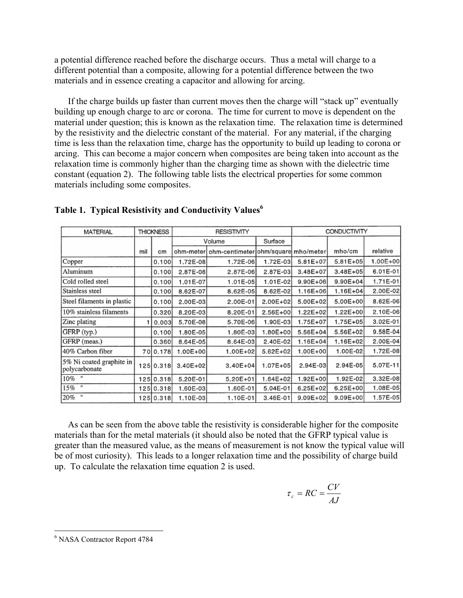a potential difference reached before the discharge occurs. Thus a metal will charge to a different potential than a composite, allowing for a potential difference between the two materials and in essence creating a capacitor and allowing for arcing.

If the charge builds up faster than current moves then the charge will "stack up" eventually building up enough charge to arc or corona. The time for current to move is dependent on the material under question; this is known as the relaxation time. The relaxation time is determined by the resistivity and the dielectric constant of the material. For any material, if the charging time is less than the relaxation time, charge has the opportunity to build up leading to corona or arcing. This can become a major concern when composites are being taken into account as the relaxation time is commonly higher than the charging time as shown with the dielectric time constant (equation 2). The following table lists the electrical properties for some common materials including some composites.

| <b>MATERIAL</b>                           | <b>THICKNESS</b> |           | <b>RESISTIVITY</b> |                                      | CONDUCTIVITY |              |              |          |
|-------------------------------------------|------------------|-----------|--------------------|--------------------------------------|--------------|--------------|--------------|----------|
|                                           |                  |           | Volume             |                                      | Surface      |              |              |          |
|                                           | mil              | cm        | ohm-meter          | ohm-centimeter ohm/square  mho/meter |              |              | mho/cm       | relative |
| Copper                                    |                  | 0.100     | 1.72E-08           | 1.72E-06                             | 1.72E-03     | $5.81E + 07$ | 5.81E+05     | 1.00E+00 |
| Aluminum                                  |                  | 0.100     | 2.87E-08           | 2.87E-06                             | 2.87E-03     | 3.48E+07     | $3.48E + 05$ | 6.01E-01 |
| Cold rolled steel                         |                  | 0.100     | 1.01E-07           | 1.01E-05                             | 1.01E-02     | $9.90E + 06$ | 9.90E+04     | 1.71E-01 |
| Stainless steel                           |                  | 0.100     | 8.62E-07           | 8.62E-05                             | 8.62E-02     | 1.16E+06     | $1.16E + 04$ | 2.00E-02 |
| Steel filaments in plastic                |                  | 0.100     | 2.00E-03           | 2.00E-01                             | 2.00E+02     | 5.00E+02     | 5.00E+00     | 8.62E-06 |
| 10% stainless filaments                   |                  | 0.320     | 8.20E-03           | 8.20E-01                             | 2.56E+00     | 1.22E+02     | 1.22E+00     | 2.10E-06 |
| Zinc plating                              |                  | 0.003     | 5.70E-08           | 5.70E-06                             | 1.90E-03     | 1.75E+07     | 1.75E+05     | 3.02E-01 |
| GFRP (typ.)                               |                  | 0.100     | 1.80E-05           | 1.80E-03                             | 1.80E+00     | 5.56E+04     | 5.56E+02     | 9.58E-04 |
| GFRP (meas.)                              |                  | 0.360     | 8.64E-05           | 8.64E-03                             | 2.40E-02     | 1.16E+04     | 1.16E+02     | 2.00E-04 |
| 140% Carbon fiber                         |                  | 70 0.178  | 1.00E+00           | 1.00E+02                             | 5.62E+02     | 1.00E+00     | 1.00E-02     | 1.72E-08 |
| 5% Ni coated graphite in<br>polycarbonate |                  | 125 0.318 | 3.40E+02           | $3.40E + 04$                         | 1.07E+05     | 2.94E-03     | $2.94E-05$   | 5.07E-11 |
| 10% "                                     |                  | 125 0.318 | 5.20E-01           | 5.20E+01                             | 1.64E+02     | 1.92E+00     | 1.92E-02     | 3.32E-08 |
| 15% "                                     |                  | 125 0.318 | 1.60E-03           | 1.60E-01                             | 5.04E-01     | 6.25E+02     | $6.25E + 00$ | 1.08E-05 |
| $^{\dagger}$<br>20%                       |                  | 125 0.318 | 1.10E-03           | 1.10E-01                             | 3.46E-01     | 9.09E+02     | 9.09E+00     | 1.57E-05 |

# **Table 1. Typical Resistivity and Conductivity Values[6](#page-8-0)**

As can be seen from the above table the resistivity is considerable higher for the composite materials than for the metal materials (it should also be noted that the GFRP typical value is greater than the measured value, as the means of measurement is not know the typical value will be of most curiosity). This leads to a longer relaxation time and the possibility of charge build up. To calculate the relaxation time equation 2 is used.

$$
\tau_c = RC = \frac{CV}{AJ}
$$

<span id="page-8-0"></span> $\frac{1}{6}$ <sup>6</sup> NASA Contractor Report 4784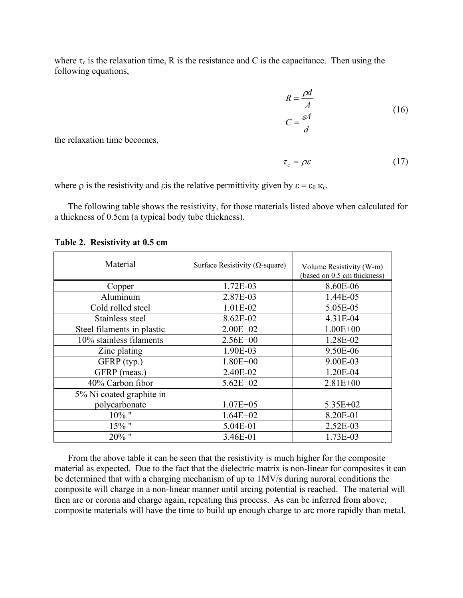where  $\tau_c$  is the relaxation time, R is the resistance and C is the capacitance. Then using the following equations,

$$
R = \frac{\rho d}{A}
$$
  
\n
$$
C = \frac{\varepsilon A}{d}
$$
\n(16)

the relaxation time becomes,

$$
\tau_c = \rho \varepsilon \tag{17}
$$

where  $\rho$  is the resistivity and εis the relative permittivity given by  $\varepsilon = \varepsilon_0 \kappa_{\varepsilon}$ .

The following table shows the resistivity, for those materials listed above when calculated for a thickness of 0.5cm (a typical body tube thickness).

Material Surface Resistivity ( $Ω$ -square) Volume Resistivity (W-m)<br>
(based on 0.5 cm thickness) Copper 1.72E-03 8.60E-06 Aluminum 2.87E-03 1.44E-05 Cold rolled steel 1.01E-02 5.05E-05 Stainless steel 8.62E-02 4.31E-04 Steel filaments in plastic  $2.00E+02$  1.00E+00 10% stainless filaments 2.56E+00 1.28E-02 Zinc plating 2.90E-03 2.50E-06 GFRP (typ.) 1.80E+00 9.00E-03 GFRP (meas.) 2.40E-02 1.20E-04 40% Carbon fibor 5.62E+02 2.81E+00 5% Ni coated graphite in polycarbonate 1.07E+05 5.35E+02 10% " 1.64E+02 8.20E-01 15% " 5.04E-01 2.52E-03 20% " 3.46E-01 1.73E-03

**Table 2. Resistivity at 0.5 cm** 

From the above table it can be seen that the resistivity is much higher for the composite material as expected. Due to the fact that the dielectric matrix is non-linear for composites it can be determined that with a charging mechanism of up to 1MV/s during auroral conditions the composite will charge in a non-linear manner until arcing potential is reached. The material will then arc or corona and charge again, repeating this process. As can be inferred from above, composite materials will have the time to build up enough charge to arc more rapidly than metal.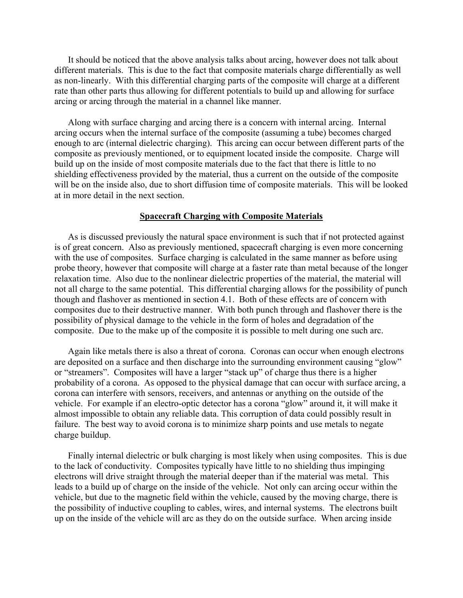It should be noticed that the above analysis talks about arcing, however does not talk about different materials. This is due to the fact that composite materials charge differentially as well as non-linearly. With this differential charging parts of the composite will charge at a different rate than other parts thus allowing for different potentials to build up and allowing for surface arcing or arcing through the material in a channel like manner.

Along with surface charging and arcing there is a concern with internal arcing. Internal arcing occurs when the internal surface of the composite (assuming a tube) becomes charged enough to arc (internal dielectric charging). This arcing can occur between different parts of the composite as previously mentioned, or to equipment located inside the composite. Charge will build up on the inside of most composite materials due to the fact that there is little to no shielding effectiveness provided by the material, thus a current on the outside of the composite will be on the inside also, due to short diffusion time of composite materials. This will be looked at in more detail in the next section.

#### **Spacecraft Charging with Composite Materials**

As is discussed previously the natural space environment is such that if not protected against is of great concern. Also as previously mentioned, spacecraft charging is even more concerning with the use of composites. Surface charging is calculated in the same manner as before using probe theory, however that composite will charge at a faster rate than metal because of the longer relaxation time. Also due to the nonlinear dielectric properties of the material, the material will not all charge to the same potential. This differential charging allows for the possibility of punch though and flashover as mentioned in section 4.1. Both of these effects are of concern with composites due to their destructive manner. With both punch through and flashover there is the possibility of physical damage to the vehicle in the form of holes and degradation of the composite. Due to the make up of the composite it is possible to melt during one such arc.

Again like metals there is also a threat of corona. Coronas can occur when enough electrons are deposited on a surface and then discharge into the surrounding environment causing "glow" or "streamers". Composites will have a larger "stack up" of charge thus there is a higher probability of a corona. As opposed to the physical damage that can occur with surface arcing, a corona can interfere with sensors, receivers, and antennas or anything on the outside of the vehicle. For example if an electro-optic detector has a corona "glow" around it, it will make it almost impossible to obtain any reliable data. This corruption of data could possibly result in failure. The best way to avoid corona is to minimize sharp points and use metals to negate charge buildup.

Finally internal dielectric or bulk charging is most likely when using composites. This is due to the lack of conductivity. Composites typically have little to no shielding thus impinging electrons will drive straight through the material deeper than if the material was metal. This leads to a build up of charge on the inside of the vehicle. Not only can arcing occur within the vehicle, but due to the magnetic field within the vehicle, caused by the moving charge, there is the possibility of inductive coupling to cables, wires, and internal systems. The electrons built up on the inside of the vehicle will arc as they do on the outside surface. When arcing inside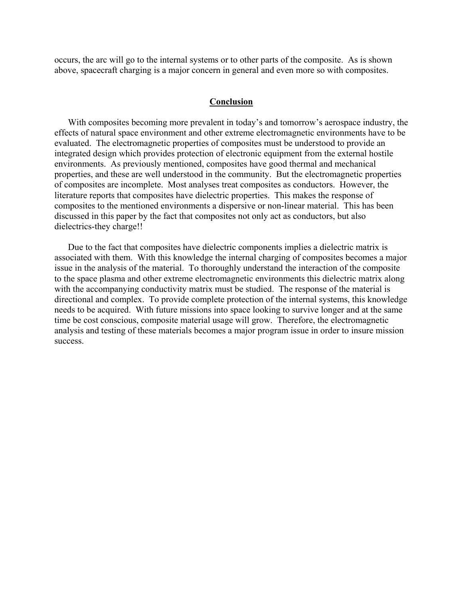occurs, the arc will go to the internal systems or to other parts of the composite. As is shown above, spacecraft charging is a major concern in general and even more so with composites.

#### **Conclusion**

With composites becoming more prevalent in today's and tomorrow's aerospace industry, the effects of natural space environment and other extreme electromagnetic environments have to be evaluated. The electromagnetic properties of composites must be understood to provide an integrated design which provides protection of electronic equipment from the external hostile environments. As previously mentioned, composites have good thermal and mechanical properties, and these are well understood in the community. But the electromagnetic properties of composites are incomplete. Most analyses treat composites as conductors. However, the literature reports that composites have dielectric properties. This makes the response of composites to the mentioned environments a dispersive or non-linear material. This has been discussed in this paper by the fact that composites not only act as conductors, but also dielectrics-they charge!!

Due to the fact that composites have dielectric components implies a dielectric matrix is associated with them. With this knowledge the internal charging of composites becomes a major issue in the analysis of the material. To thoroughly understand the interaction of the composite to the space plasma and other extreme electromagnetic environments this dielectric matrix along with the accompanying conductivity matrix must be studied. The response of the material is directional and complex. To provide complete protection of the internal systems, this knowledge needs to be acquired. With future missions into space looking to survive longer and at the same time be cost conscious, composite material usage will grow. Therefore, the electromagnetic analysis and testing of these materials becomes a major program issue in order to insure mission success.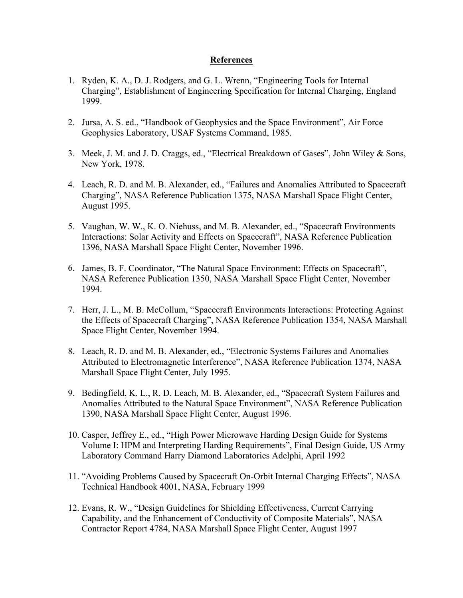# **References**

- 1. Ryden, K. A., D. J. Rodgers, and G. L. Wrenn, "Engineering Tools for Internal Charging", Establishment of Engineering Specification for Internal Charging, England 1999.
- 2. Jursa, A. S. ed., "Handbook of Geophysics and the Space Environment", Air Force Geophysics Laboratory, USAF Systems Command, 1985.
- 3. Meek, J. M. and J. D. Craggs, ed., "Electrical Breakdown of Gases", John Wiley & Sons, New York, 1978.
- 4. Leach, R. D. and M. B. Alexander, ed., "Failures and Anomalies Attributed to Spacecraft Charging", NASA Reference Publication 1375, NASA Marshall Space Flight Center, August 1995.
- 5. Vaughan, W. W., K. O. Niehuss, and M. B. Alexander, ed., "Spacecraft Environments Interactions: Solar Activity and Effects on Spacecraft", NASA Reference Publication 1396, NASA Marshall Space Flight Center, November 1996.
- 6. James, B. F. Coordinator, "The Natural Space Environment: Effects on Spacecraft", NASA Reference Publication 1350, NASA Marshall Space Flight Center, November 1994.
- 7. Herr, J. L., M. B. McCollum, "Spacecraft Environments Interactions: Protecting Against the Effects of Spacecraft Charging", NASA Reference Publication 1354, NASA Marshall Space Flight Center, November 1994.
- 8. Leach, R. D. and M. B. Alexander, ed., "Electronic Systems Failures and Anomalies Attributed to Electromagnetic Interference", NASA Reference Publication 1374, NASA Marshall Space Flight Center, July 1995.
- 9. Bedingfield, K. L., R. D. Leach, M. B. Alexander, ed., "Spacecraft System Failures and Anomalies Attributed to the Natural Space Environment", NASA Reference Publication 1390, NASA Marshall Space Flight Center, August 1996.
- 10. Casper, Jeffrey E., ed., "High Power Microwave Harding Design Guide for Systems Volume I: HPM and Interpreting Harding Requirements", Final Design Guide, US Army Laboratory Command Harry Diamond Laboratories Adelphi, April 1992
- 11. "Avoiding Problems Caused by Spacecraft On-Orbit Internal Charging Effects", NASA Technical Handbook 4001, NASA, February 1999
- 12. Evans, R. W., "Design Guidelines for Shielding Effectiveness, Current Carrying Capability, and the Enhancement of Conductivity of Composite Materials", NASA Contractor Report 4784, NASA Marshall Space Flight Center, August 1997